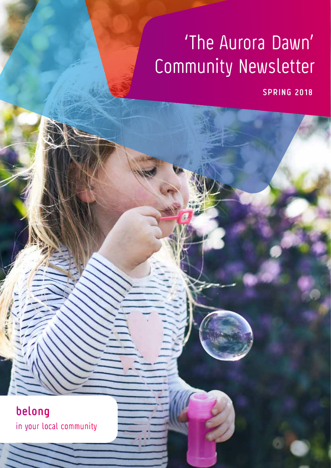# 'The Aurora Dawn' Community Newsletter

**SPRING 2018**

**belong** in your local community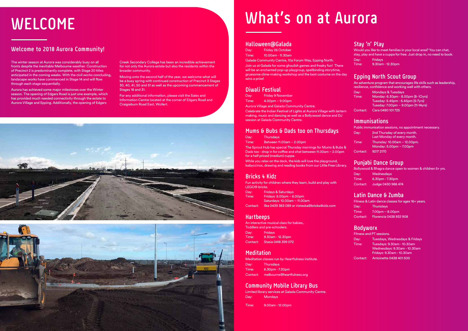# **What's on at Aurora**

### **Halloween@Galada**

Day: Friday 26 October

Time: 10.00am - 11.30am

Galada Community Centre, 10a Forum Way, Epping North. Join us at Galada for some ghoulish games and freaky fun! There will be an enchanted pop-up playgroup, spellbinding storytime, gruesome slime-making workshop and the best costume on the day wins a prize!

### **Diwali Festival**

Day: Friday 9 November

Time: 4.00pm – 9.00pm

Aurora Village and Galada Community Centre.

While you relax on the deck, the kids will love the playground, babyccinos, drawing and reading books from our Little Free Library.

Celebrate the Indian Festival of Lights at Aurora Village with lantern making, music and dancing as well as a Bollywood dance and DJ session at Galada Community Centre.

### **Mums & Bubs & Dads too on Thursdays**

Day: Thursdays

Time: Between 11.00am – 2.00pm

The Sprout Hub has special Thursday mornings for Mums & Bubs & Dads too - drop in for coffee and chat between 11.00am – 2.00pm for a half priced (medium) cuppa.

# **Bricks 4 Kidz**

Fun activity for children where they learn, build and play with LEGO® bricks.

| Day:  | <b>Fridays &amp; Saturdays</b> |
|-------|--------------------------------|
| Time: | Fridays: $5.00pm - 6.00pm$     |
|       | Saturdays: 10.00am – 11.00am   |
|       |                                |

Contact: Ilka 0439 383 089 or iristeska@bricks4kidz.com

## **Hartbeeps**

An interactive musical class for babies,. Toddlers and pre-schoolers. Day: Fridays Time: 9.30am - 12.30pm Contact: Stasia 0418 399 072

## **Meditation**

Meditation classes run by Heartfulness Institute. Day: Thursdays Time: 6.30pm - 7.30pm Contact: melbourne@heartfulness.org

### **Community Mobile Library Bus**

Limited library services at Galada Community Centre. Day: Mondays

Time: 9.00am - 12.00pm

## **Stay 'n' Play**

Would you like to meet families in your local area? You can chat, stay, play and have a cuppa for free. Just drop in, no need to book. Day: Fridays Time: 9.30am - 12.30pm

# **Epping North Scout Group**

An adventure program that encourages life skills such as leadership, resilience, confidence and working well with others.

| Day:     | <b>Mondays &amp; Tuesdays</b>       |
|----------|-------------------------------------|
| Time:    | Monday: 6.30pm - 8.00pm (8- IOyrs)  |
|          | Tuesday: 5.45pm - 6.45pm (5-7yrs)   |
|          | Tuesday: 7.00pm – 9.00pm (11-14yrs) |
| Contact: | Cara 0490 101725                    |

### **Immunisations**

Public immunisation sessions, no appointment necessary.

| Day:     | 2nd Thursday of every month.                            |
|----------|---------------------------------------------------------|
|          | Last Monday of every month.                             |
| Time:    | Thursday: 10.00am - 12.00pm.<br>Monday: 5.00pm - 7.00pm |
| Contact: | 9217 2170                                               |

### **Punjabi Dance Group**

Bollywood & Bhagra dance open to women & children 5+ yrs. Day: Wednesdays Time: 6.30pm - 7.30pm Contact: Judge 0430 986 474

## **Latin Dance & Zumba**

Fitness & Latin dance classes for ages 16+ years. Day: Thursdays Time: 7.00pm – 8.00pm Contact: Florencia 0438 932 908

### **Bodyworx**

|          | Fitness and PT sessions.                                                                |
|----------|-----------------------------------------------------------------------------------------|
| Day:     | Tuesdays, Wednesdays & Fridays                                                          |
| Time:    | Tuesdays: 9.30am - 10.30am<br>Wednesdays: 9.30am - 10.30am<br>Fridays: 9.30am - 10.30am |
| Contact: | Antoinette 0438 401 500                                                                 |

# **WELCOME**

# **Welcome to 2018 Aurora Community!**

The winter season at Aurora was considerably busy on all fronts despite the inevitable Melbourne weather. Construction of Precinct 2 is predominantly complete, with Stage 20 titles anticipated in the coming weeks. With the civil works concluding, landscape works have commenced in Stage 14 and will flow through each stage sequentially.

Aurora has achieved some major milestones over the Winter season. The opening of Edgars Road is just one example, which has provided much needed connectivity through the estate to Aurora Village and Epping. Additionally, the opening of Edgars

Creek Secondary College has been an incredible achievement for not only the Aurora estate but also the residents within the broader community.

Moving onto the second half of the year, we welcome what will be a busy spring with continued construction of Precinct 3 Stages 30, 40, 41, 50 and 51 as well as the upcoming commencement of Stages 18 and 31.

For any additional information, please visit the Sales and Information Centre located at the corner of Edgars Road and Craigieburn Road East, Wollert.



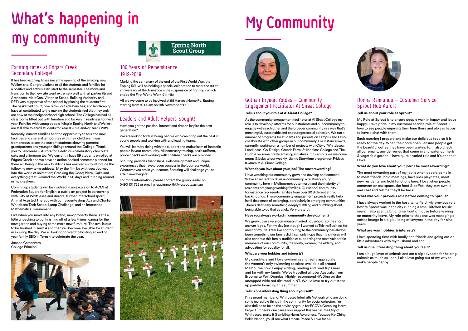### Gulhan Eryegit Yoldas – Community Engagement Facilitator Al Siraat College

### **Tell us about your role at Al Siraat College?**

As the community engagement facilitator at Al Siraat College my role is to develop platforms for our students and our community to engage with each other and the broader community in a way that's meaningful, sustainable and encourages social cohesion. We run a number of programs for students and parents on campus and I also collaborate with other groups in our community. For instance we're currently working on a number of projects with City of Whittlesea, LendLease, Co-Design, Creeds Farm, St Monicas College and The Huddle on some pretty amazing initiatives. On campus we welcome mums & bubs to our weekly Islamic Storytime program on Fridays 8.30am at Al Siraat College.

### **What do you love about your job? The most rewarding?**

I love watching our community grow and develop and connect. We're an incredibly diverse community, a relatively young community here in Melbourne's outer north and the majority of residents are young working families. Our school community for instance represents families from over 50 different ethnic backgrounds. These community engagement projects really help instil that sense of belonging, particularly in emerging communities. There's definitely something deeply fulfilling and humbling about being able to do that as a job. Very grateful.

### **Have you always worked in community development?**

We grew up in a very community minded household, so the short answer is yes. For my day job though I worked at Telstra Business for most of my life. I feel like contributing to the community has always been something our family did. I can only hope that my children will also continue this family tradition of supporting the most vulnerable members of our community, the youth, women, the elderly, and advocating for equality for all.

### **What are your hobbies and interests?**

My daughters and I love swimming and really appreciate the women's only swimming sessions available all around Melbourne now. I enjoy writing, reading and road trips near and far with my family. We've travelled all over Australia from Broome to Port Douglas. Highly recommend 4WDing on the uncapped wide red dirt road in NT. Would love to try out stand up paddle boarding this summer.

# What's happening in My Community **my community**

### **Tell us one interesting thing about yourself?**

I'm a proud member of Whittlesea Interfaith Network who are doing some incredible things in the community for social cohesion. I'm also thrilled to be on the advisory group for ECCV's Gambling Harm Project. If there's one cause you support this year in the City of Whittlesea, make it Gambling Harm Awareness. Youtube Ka-Ching Pokie Nation, you'll see what I mean. Peace & Love for all.



### Donna Raimundo – Customer Service Sprout Hub Aurora

### **Tell us about your role at Sprout?**

My Role at Sprout is to ensure people walk in happy and leave happy. I take pride in my customer service role at Sprout. I love to see people enjoying their time there and always happy to have a chat with them.

Each morning I prepare and make our delicious food so it is ready for the day. When the doors open I ensure people get the beautiful coffee they have been waiting for. I also check all our emails, any deliveries that come in and water our herb & vegetable garden. I have quite a varied role and it's one that I love!

### **What do you love about your job? The most rewarding?**

The most rewarding part of my job is when people come in to meet friends, hold meetings, have kids playdates, meet new residents and hold functions here. I love when people comment on our space, the food & coffee, they stay awhile and chat and tell me they'll be back!

### **What was your previous role before coming to Sprout?**

I have always worked in the hospitality field. My previous role before Sprout was in the city running a small kitchen for six years. I also spent a bit of time front of house before leaving on maternity leave. My role prior to that one was managing a coffee lounge in a big building of lawyers in the city for nine years.

### **What are your hobbies & interests?**

I love spending time with family and friends and going out on little adventures with my husband and son.

### **Tell us one interesting thing about yourself?**

I am a huge lover of animals and am a big advocate for helping animals as much as I can. I also love going out of my way to make people happy!

### Exciting times at Edgars Creek Secondary College!

It has been exciting times since the opening of the amazing new Wollert site. Congratulations to all the students and families for a positive and enthusiastic start to the semester. The move and transition to the new site went extremely well with all parties (Brand Architects, MelbCon, Victorian School Building Authority and DET) very supportive of the school by placing the students first. The basketball court; bike racks; outside benches; and landscaping have all contributed to the making the students feel that they truly are now at their neighborhood high school! The College has had all classrooms fitted out with furniture and lockers in readiness for next year. Families with young people living in Epping North and Wollert are still able to enroll students for Year 8 2019; and/or Year 7 2019.

Recently, current families had the opportunity to tour the new facilities and share afternoon tea with their children. It was tremendous to see the current students showing parents; grandparents and younger siblings around the College. Thank you to Lendlease – Aurora for a delicious celebratory chocolate cake and afternoon tea. We currently have 89 students enrolled at Edgars Creek and we have an action packed semester planned for them all. Being in the new buildings has enabled us to introduce the following new term subjects: May the film be with you; Journey into the world of animation; Cracking the Code; Pizza, Cake and everything great; Around the World in 50 days and Running around in my sneakers.

Coming up students will be involved in an excursion to ACMI at Federation Square for English; a public art project in partnership with City of Whittlesea and Aurora; further interschool sport; Animal Assisted Therapy with our favourite dogs Ava and Charlie; Whittlesea Tech School Lamp Challenge; and an interschool Mathematics Tournament.

Like when you move into any brand, new property there is still a little unpacking to go; finishing off of a few things; caring for the new garden and buying some more new furniture. The oval is due to be finished in Term 4 and then will become available for student use during the day. We all looking forward to hosting an end of year family BBQ in Term 4 to celebrate the year.

Joanne Camozzato College Principal





### 100 Years of Remembrance 1918-2018.

Marking the centenary of the end of the First World War, the Epping RSL will be holding a special celebration to mark the 100th anniversary of the Armistice – the suspension of fighting - which ended the First World War (1914–18)

All are welcome to be involved at 95 Harvest Home Rd, Epping starting from 10.00am on 11th November 2018.

## Leaders and Adult Helpers Sought!

Have you got the passion, interest and time to inspire the next generation?

We are looking for fun loving people who can bring out the best in young people and working with and leading teams.

You will learn by doing with the support and enthusiasm of fantastic people in your community. All necessary training, basic uniform, police checks and working with children checks are provided.

Scouting provides friendships, skill development and unique experiences that have proven success in the business world. Wherever you are in your career, Scouting will challenge you to attain new heights!

For more information, please contact the group leader on 0490 101 725 or email gl.eppingnorth@vicscouts.asn.au



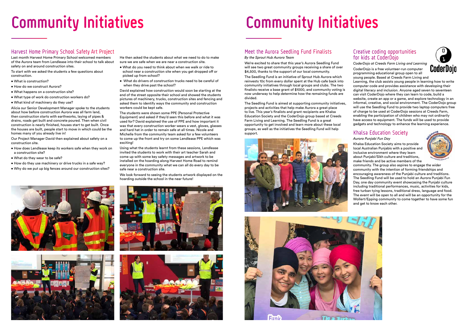# **Community Initiatives**

# Meet the Aurora Seedling Fund Finalists

We're excited to share that this year's Aurora Seedling Fund will see two great community groups receiving a share of over \$4,500, thanks to the support of our local community.

*By the Sprout Hub Aurora Team*

The Seedling Fund is an initiative of Sprout Hub Aurora which reinvests 10c from every dollar spent at the Hub cafe back into community initiatives through local groups and clubs. The two finalists receive a base grant of \$1000, and community voting is now underway to help determine how the remaining funds are divided.

The Seedling Fund is aimed at supporting community initiatives, projects and activities that help make Aurora a great place to live. This year's finalists and grant recipients are Khalsa Education Society and the CoderDojo group based at Creeds Farm Living and Learning. The Seedling Fund is a great opportunity to get involved and learn more about these local groups, as well as the initiatives the Seedling Fund will help support.







### Creative coding opportunities for kids at CoderDojo

*CoderDojo at Creeds Farm Living and Learning* CoderDojo is a free volunteer-run computer

programming educational group open to all young people. Based at Creeds Farm Living and Learning, the club assists young people in learning how to write

computer code and provides assistance with developing their digital literacy and inclusion. Anyone aged seven to seventeen can visit CoderDojo where they can learn to code, build a website, create an app or a game, and explore technology in an informal, creative, and social environment. The CoderDojo group will use the Seedling Fund to provide two laptop computers free of charge to be used at CoderDojo sessions at Creeds Farm, enabling the participation of children who may not ordinarily have access to equipment. The funds will be used to provide gadgets and technology to enhance the learning experience.

## Khalsa Education Society

*Aurora Punjabi Fun Day*

Khalsa Education Society aims to provide local Australian Punjabis with a positive and inclusive environment where they learn about Punjabi/Sikh culture and traditions, make friends and be active members of the

community. The group also aspires to engage the wider community with the intention of forming friendships and encouraging awareness of the Punjabi culture and traditions. The Seedling Fund will be used to hold an Aurora Punjabi Fun Day, one day community event showcasing the Punjabi culture including traditional performances, music, activities for kids, free turban tying lessons, traditional dress, language and food. The event will be open to all and will be an opportunity for the Wollert/Epping community to come together to have some fun and get to know each other.





# **Community Initiatives**

## Harvest Home Primary School Safety Art Project

Last month Harvest Home Primary School welcomed members of the Aurora team from Lendlease into their school to talk about safety on and around construction sites.

To start with we asked the students a few questions about construction.

- What is construction?
- How do we construct Aurora?
- What happens on a construction site?
- What type of work do construction workers do?
- What kind of machinery do they use?

Alicia our Senior Development Manager spoke to the students about how before construction Aurora was all farm land, then construction starts with earthworks, laying of pipes & drains, roads get built and concrete poured. Then when civil construction is nearly finished, houses start to get built. Once the houses are built, people start to move in which could be the homes many of you already live in!

Our Project Manager David then explained about safety on a construction site.

- How does Lendlease keep its workers safe when they work on a construction site?
- What do they wear to be safe?
- How do they use machinery or drive trucks in a safe way?
- Why do we put up big fences around our construction sites?

He then asked the students about what we need to do to make sure we are safe when we are near a construction site.

- What do you need to think about when we walk or ride to school near a construction site when you get dropped off or picked up from school?
- What do drivers of construction trucks need to be careful of when they drive past the school?

David explained how construction would soon be starting at the end of the street opposite their school and showed the students pictures of machinery, trucks, construction sites and fencing and asked them to identify ways the community and construction workers could be kept safe.

The students were shown some PPE (Personal Protective Equipment) and asked if they'd seen this before and what it was used for? David explained the use of PPE and how important it was that every construction worker wears a vest, gloves, glasses and hard hat in order to remain safe at all times. Nicole and Michelle from the community team asked for a few volunteers to come up the front and try on some Lendlease PPE which was exciting!

Using what the students learnt from these sessions, Lendlease invited the students to work with their art teacher Sarah and come up with some key safety messages and artwork to be installed on the hoarding along Harvest Home Road to remind everyone in the community what we can all do every day to be safe near a construction site.

We look forward to seeing the students artwork displayed on the hoarding outside the school in the near future!